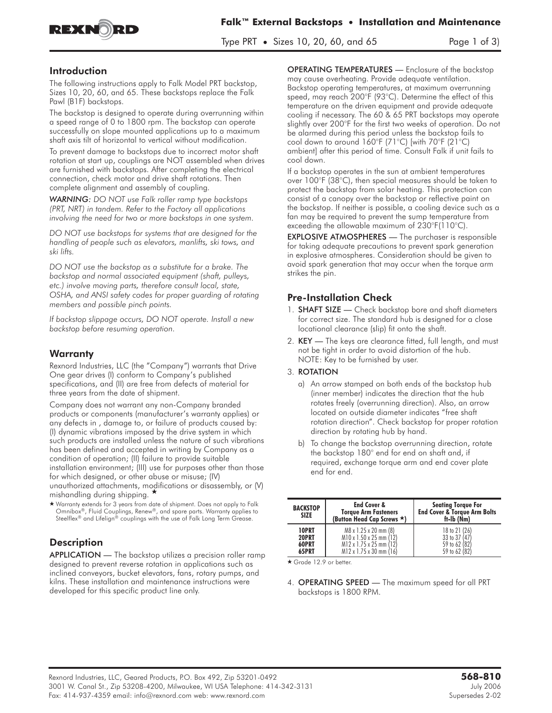

Type PRT • Sizes 10, 20, 60, and 65 Page 1 of 3)

### **Introduction**

The following instructions apply to Falk Model PRT backstop, Sizes 10, 20, 60, and 65. These backstops replace the Falk Pawl (B1F) backstops.

The backstop is designed to operate during overrunning within a speed range of 0 to 1800 rpm. The backstop can operate successfully on slope mounted applications up to a maximum shaft axis tilt of horizontal to vertical without modification.

To prevent damage to backstops due to incorrect motor shaft rotation at start up, couplings are NOT assembled when drives are furnished with backstops. After completing the electrical connection, check motor and drive shaft rotations. Then complete alignment and assembly of coupling.

*WARNING: DO NOT use Falk roller ramp type backstops (PRT, NRT) in tandem. Refer to the Factory all applications involving the need for two or more backstops in one system.*

*DO NOT use backstops for systems that are designed for the handling of people such as elevators, manlifts, ski tows, and ski lifts.*

*DO NOT use the backstop as a substitute for a brake. The backstop and normal associated equipment (shaft, pulleys, etc.) involve moving parts, therefore consult local, state, OSHA, and ANSI safety codes for proper guarding of rotating members and possible pinch points.*

*If backstop slippage occurs, DO NOT operate. Install a new backstop before resuming operation.*

# **Warranty**

Rexnord Industries, LLC (the "Company") warrants that Drive One gear drives (I) conform to Company's published specifications, and (II) are free from defects of material for three years from the date of shipment.

Company does not warrant any non-Company branded products or components (manufacturer's warranty applies) or any defects in , damage to, or failure of products caused by: (I) dynamic vibrations imposed by the drive system in which such products are installed unless the nature of such vibrations has been defined and accepted in writing by Company as a condition of operation; (II) failure to provide suitable installation environment; (III) use for purposes other than those for which designed, or other abuse or misuse; (IV) unauthorized attachments, modifications or disassembly, or (V) mishandling during shipping. -

- Warranty extends for 3 years from date of shipment. Does not apply to Falk Omnibox®, Fluid Couplings, Renew®, and spare parts. Warranty applies to Steelflex® and Lifelign® couplings with the use of Falk Long Term Grease.

# **Description**

APPLICATION - The backstop utilizes a precision roller ramp designed to prevent reverse rotation in applications such as inclined conveyors, bucket elevators, fans, rotary pumps, and kilns. These installation and maintenance instructions were developed for this specific product line only.

OPERATING TEMPERATURES — Enclosure of the backstop may cause overheating. Provide adequate ventilation. Backstop operating temperatures, at maximum overrunning speed, may reach 200°F (93°C). Determine the effect of this temperature on the driven equipment and provide adequate cooling if necessary. The 60 & 65 PRT backstops may operate slightly over 200°F for the first two weeks of operation. Do not be alarmed during this period unless the backstop fails to cool down to around 160°F (71°C) [with 70°F (21°C) ambient] after this period of time. Consult Falk if unit fails to cool down.

If a backstop operates in the sun at ambient temperatures over 100°F (38°C), then special measures should be taken to protect the backstop from solar heating. This protection can consist of a canopy over the backstop or reflective paint on the backstop. If neither is possible, a cooling device such as a fan may be required to prevent the sump temperature from exceeding the allowable maximum of 230°F(110°C).

EXPLOSIVE ATMOSPHERES — The purchaser is responsible for taking adequate precautions to prevent spark generation in explosive atmospheres. Consideration should be given to avoid spark generation that may occur when the torque arm strikes the pin.

### Pre-Installation Check

- 1. **SHAFT SIZE** Check backstop bore and shaft diameters for correct size. The standard hub is designed for a close locational clearance (slip) fit onto the shaft.
- 2. KEY **The keys are clearance fitted, full length, and must not be tight in order to avoid distortion of the hub. NOTE: Key to be furnished by user.**

#### **3.** ROTATION

- a) An arrow stamped on both ends of the backstop hub (inner member) indicates the direction that the hub rotates freely (overrunning direction). Also, an arrow located on outside diameter indicates "free shaft rotation direction". Check backstop for proper rotation direction by rotating hub by hand.
- b) To change the backstop overrunning direction, rotate the backstop 180° end for end on shaft and, if required, exchange torque arm and end cover plate end for end.

| <b>BACKSTOP</b><br><b>SIZE</b> | <b>End Cover &amp;</b><br><b>Torque Arm Fasteners</b><br>(Button Head Cap Screws ★) | <b>Seating Torque For</b><br><b>End Cover &amp; Torque Arm Bolts</b><br>ft-Ib (Nm) |
|--------------------------------|-------------------------------------------------------------------------------------|------------------------------------------------------------------------------------|
| 10PRT                          | M8 x 1.25 x 20 mm (8)                                                               | 18 to 21 (26)                                                                      |
| 20PRT                          | M10 x 1.50 x 25 mm (12)                                                             | 33 to 37 (47)                                                                      |
| 60PRT                          | M12 x 1.75 x 25 mm (12)                                                             | 59 to 62 (82)                                                                      |
| 65PRT                          | M12 x 1.75 x 30 mm (16)                                                             | 59 to 62 (82)                                                                      |

★ Grade 12.9 or better.

4. **OPERATING SPEED** — The maximum speed for all PRT backstops is 1800 RPM.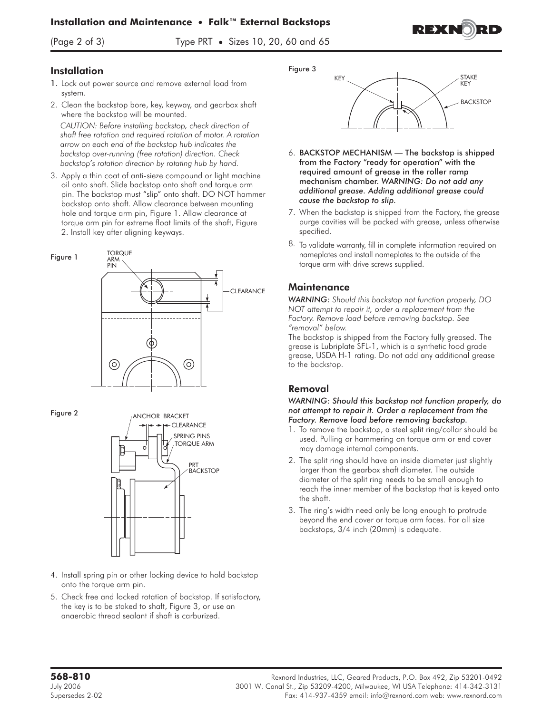#### **Installation and Maintenance • Falk™ External Backstops**



(Page 2 of 3) Type PRT **•** Sizes 10, 20, 60 and 65



# **Installation**

- 1. Lock out power source and remove external load from system.
- 2. Clean the backstop bore, key, keyway, and gearbox shaft where the backstop will be mounted.

*CAUTION: Before installing backstop, check direction of shaft free rotation and required rotation of motor. A rotation arrow on each end of the backstop hub indicates the backstop over-running (free rotation) direction. Check backstop's rotation direction by rotating hub by hand.*

3. Apply a thin coat of anti-sieze compound or light machine oil onto shaft. Slide backstop onto shaft and torque arm pin. The backstop must "slip" onto shaft. **DO NOT** hammer backstop onto shaft. Allow clearance between mounting hole and torque arm pin, Figure 1. Allow clearance at torque arm pin for extreme float limits of the shaft, Figure 2. Install key after aligning keyways.



#### Figure 2



- 4. Install spring pin or other locking device to hold backstop onto the torque arm pin.
- 5. Check free and locked rotation of backstop. If satisfactory, the key is to be staked to shaft, Figure 3, or use an anaerobic thread sealant if shaft is carburized.

Figure 3



- 6. BACKSTOP MECHANISM The backstop is shipped from the Factory "ready for operation" with the required amount of grease in the roller ramp mechanism chamber. *WARNING: Do not add any additional grease. Adding additional grease could cause the backstop to slip.*
- **7.** When the backstop is shipped from the Factory, the grease purge cavities will be packed with grease, unless otherwise specified.
- 8. To validate warranty, fill in complete information required on nameplates and install nameplates to the outside of the torque arm with drive screws supplied.

#### **Maintenance**

*WARNING: Should this backstop not function properly, DO NOT attempt to repair it, order a replacement from the Factory. Remove load before removing backstop. See "removal" below.*

The backstop is shipped from the Factory fully greased. The grease is Lubriplate SFL-1, which is a synthetic food grade grease, USDA H-1 rating. Do not add any additional grease to the backstop.

# Removal

#### *WARNING: Should this backstop not function properly, do not attempt to repair it. Order a replacement from the Factory. Remove load before removing backstop.*

- 1. To remove the backstop, a steel split ring/collar should be used. Pulling or hammering on torque arm or end cover may damage internal components.
- 2. The split ring should have an inside diameter just slightly larger than the gearbox shaft diameter. The outside diameter of the split ring needs to be small enough to reach the inner member of the backstop that is keyed onto the shaft.
- 3. The ring's width need only be long enough to protrude beyond the end cover or torque arm faces. For all size backstops, 3/4 inch (20mm) is adequate.